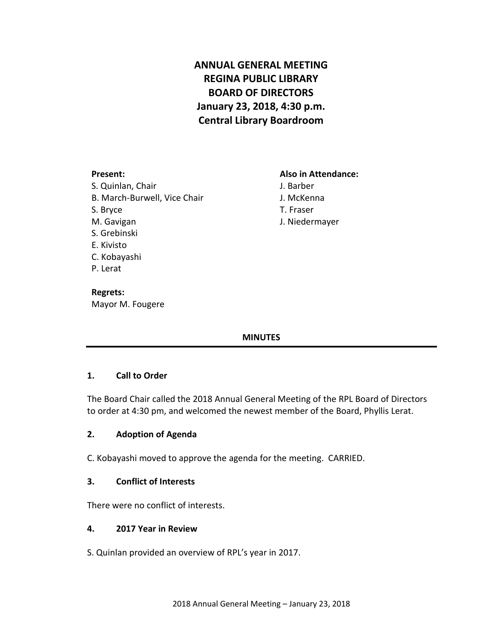# **ANNUAL GENERAL MEETING REGINA PUBLIC LIBRARY BOARD OF DIRECTORS January 23, 2018, 4:30 p.m. Central Library Boardroom**

#### **Present: Also in Attendance:**

- J. Barber
- J. McKenna
- T. Fraser
- J. Niedermayer

S. Quinlan, Chair B. March-Burwell, Vice Chair S. Bryce M. Gavigan S. Grebinski E. Kivisto C. Kobayashi P. Lerat

**Regrets:** Mayor M. Fougere

# **MINUTES**

# **1. Call to Order**

The Board Chair called the 2018 Annual General Meeting of the RPL Board of Directors to order at 4:30 pm, and welcomed the newest member of the Board, Phyllis Lerat.

# **2. Adoption of Agenda**

C. Kobayashi moved to approve the agenda for the meeting. CARRIED.

# **3. Conflict of Interests**

There were no conflict of interests.

#### **4. 2017 Year in Review**

S. Quinlan provided an overview of RPL's year in 2017.